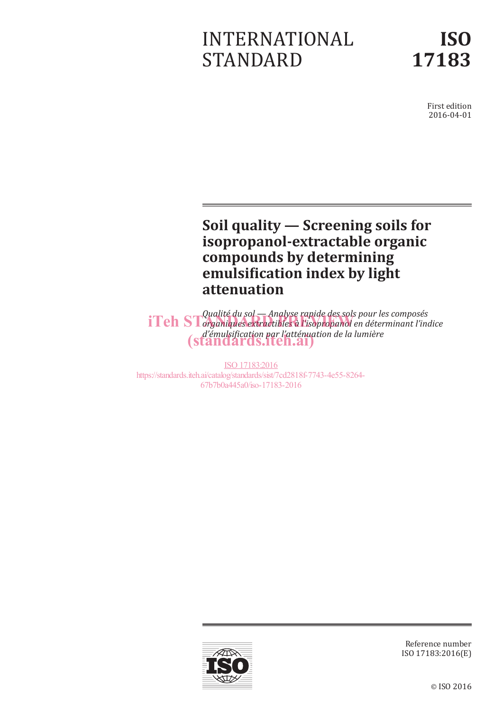# INTERNATIONAL STANDARD

First edition 2016-04-01

### **Soil quality — Screening soils for isopropanol-extractable organic compounds by determining emulsification index by light attenuation**

*Qualité du sol — Analyse rapide des sols pour les composés*  iTeh ST<sub>organiques</sub> extractibles à l'isopropanol en déterminant l'indice *d'émulsification par l'atténuation de la lumière* (standards.iteh.ai)

ISO 17183:2016 https://standards.iteh.ai/catalog/standards/sist/7cd2818f-7743-4e55-8264- 67b7b0a445a0/iso-17183-2016



Reference number ISO 17183:2016(E)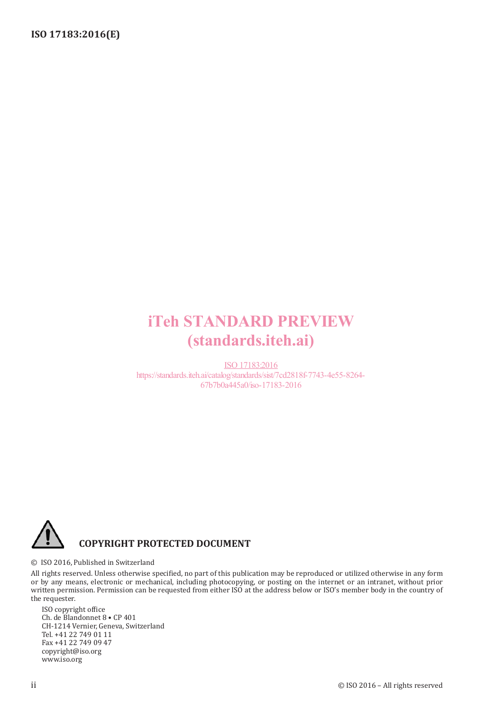## iTeh STANDARD PREVIEW (standards.iteh.ai)

ISO 17183:2016 https://standards.iteh.ai/catalog/standards/sist/7cd2818f-7743-4e55-8264- 67b7b0a445a0/iso-17183-2016



© ISO 2016, Published in Switzerland

All rights reserved. Unless otherwise specified, no part of this publication may be reproduced or utilized otherwise in any form or by any means, electronic or mechanical, including photocopying, or posting on the internet or an intranet, without prior written permission. Permission can be requested from either ISO at the address below or ISO's member body in the country of the requester.

ISO copyright office Ch. de Blandonnet 8 • CP 401 CH-1214 Vernier, Geneva, Switzerland Tel. +41 22 749 01 11 Fax +41 22 749 09 47 copyright@iso.org www.iso.org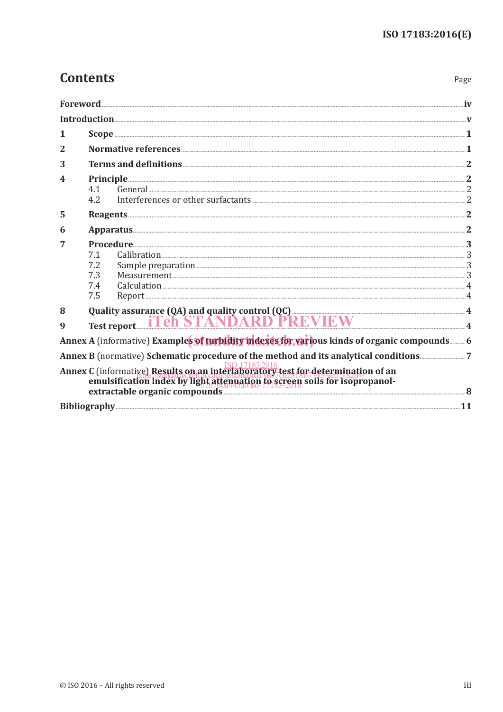Page

### **Contents**

| 1                |                                                                                                                         |  |
|------------------|-------------------------------------------------------------------------------------------------------------------------|--|
| $\overline{2}$   |                                                                                                                         |  |
| 3                |                                                                                                                         |  |
| $\boldsymbol{4}$ | <u>Principle 2014</u><br>4.1<br>4.2                                                                                     |  |
| 5                |                                                                                                                         |  |
| 6                |                                                                                                                         |  |
| 7                | Procedure 3<br>7.1<br>7.2<br>Sample preparation <b>Manual According to the Contract Official</b> 3<br>7.3<br>7.4<br>7.5 |  |
| 8                | Quality assurance (QA) and quality control (QC)<br>Test report<br>Teh STANDARD PREVIEW<br>4                             |  |
| 9                |                                                                                                                         |  |
|                  | Annex A (informative) Examples of furbidity indexes for various kinds of organic compounds 6                            |  |
|                  | Annex C (informative) Results on an interlatoratory test for determination of an                                        |  |
|                  |                                                                                                                         |  |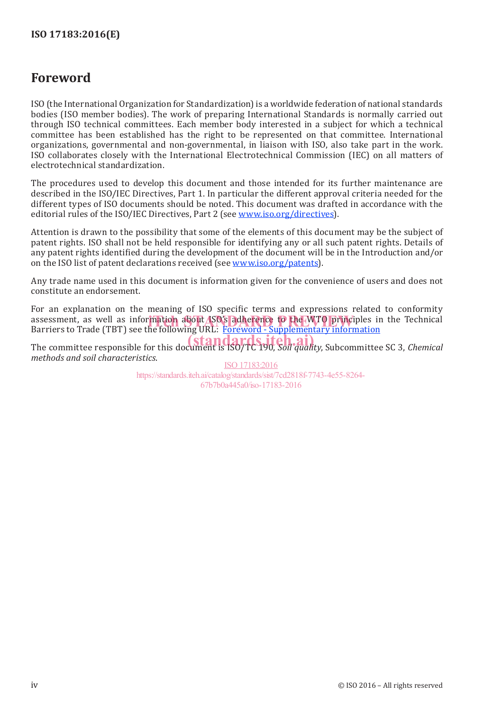### **Foreword**

ISO (the International Organization for Standardization) is a worldwide federation of national standards bodies (ISO member bodies). The work of preparing International Standards is normally carried out through ISO technical committees. Each member body interested in a subject for which a technical committee has been established has the right to be represented on that committee. International organizations, governmental and non-governmental, in liaison with ISO, also take part in the work. ISO collaborates closely with the International Electrotechnical Commission (IEC) on all matters of electrotechnical standardization.

The procedures used to develop this document and those intended for its further maintenance are described in the ISO/IEC Directives, Part 1. In particular the different approval criteria needed for the different types of ISO documents should be noted. This document was drafted in accordance with the editorial rules of the ISO/IEC Directives, Part 2 (see www.iso.org/directives).

Attention is drawn to the possibility that some of the elements of this document may be the subject of patent rights. ISO shall not be held responsible for identifying any or all such patent rights. Details of any patent rights identified during the development of the document will be in the Introduction and/or on the ISO list of patent declarations received (see www.iso.org/patents).

Any trade name used in this document is information given for the convenience of users and does not constitute an endorsement.

For an explanation on the meaning of ISO specific terms and expressions related to conformity assessment, as well as information about ISO's adherence to the WTO principles in the Technical<br>Barriers to Trade (TBT) see the following URL: Foreword - Supplementary information Barriers to Trade (TBT) see the following URL: Foreword - Supplementary information

The committee responsible for this document is ISO/TC 190, *Soil quality*, Subcommittee SC 3, *Chemical* **Channel CO** *methods and soil characteristics*.

ISO 17183:2016 https://standards.iteh.ai/catalog/standards/sist/7cd2818f-7743-4e55-8264- 67b7b0a445a0/iso-17183-2016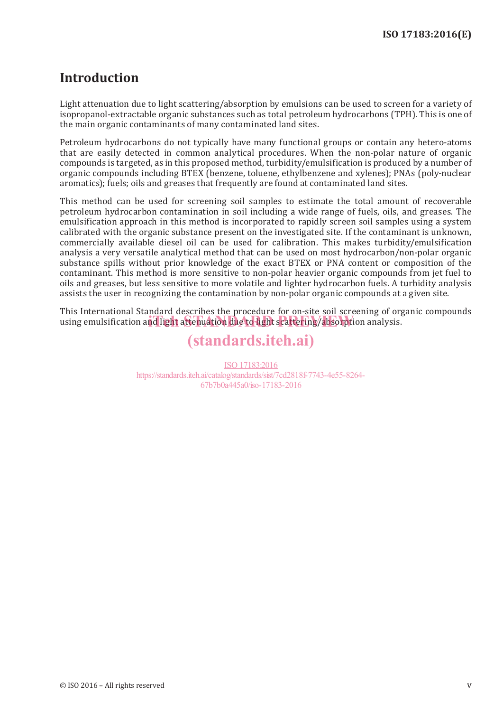### **Introduction**

Light attenuation due to light scattering/absorption by emulsions can be used to screen for a variety of isopropanol-extractable organic substances such as total petroleum hydrocarbons (TPH). This is one of the main organic contaminants of many contaminated land sites.

Petroleum hydrocarbons do not typically have many functional groups or contain any hetero-atoms that are easily detected in common analytical procedures. When the non-polar nature of organic compounds is targeted, as in this proposed method, turbidity/emulsification is produced by a number of organic compounds including BTEX (benzene, toluene, ethylbenzene and xylenes); PNAs (poly-nuclear aromatics); fuels; oils and greases that frequently are found at contaminated land sites.

This method can be used for screening soil samples to estimate the total amount of recoverable petroleum hydrocarbon contamination in soil including a wide range of fuels, oils, and greases. The emulsification approach in this method is incorporated to rapidly screen soil samples using a system calibrated with the organic substance present on the investigated site. If the contaminant is unknown, commercially available diesel oil can be used for calibration. This makes turbidity/emulsification analysis a very versatile analytical method that can be used on most hydrocarbon/non-polar organic substance spills without prior knowledge of the exact BTEX or PNA content or composition of the contaminant. This method is more sensitive to non-polar heavier organic compounds from jet fuel to oils and greases, but less sensitive to more volatile and lighter hydrocarbon fuels. A turbidity analysis assists the user in recognizing the contamination by non-polar organic compounds at a given site.

This International Standard describes the procedure for on-site soil screening of organic compounds This international standard describes the procedure for on site son sercening or or<br>using emulsification and light attenuation due to light scattering/absorption analysis.

### (standards.iteh.ai)

ISO 17183:2016 https://standards.iteh.ai/catalog/standards/sist/7cd2818f-7743-4e55-8264- 67b7b0a445a0/iso-17183-2016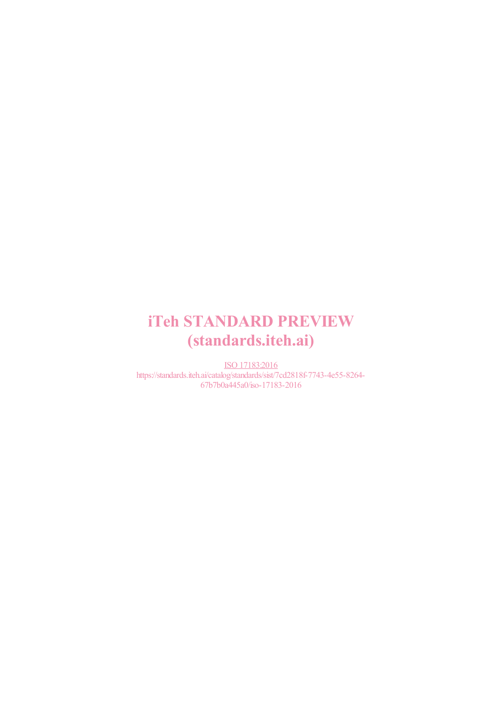## iTeh STANDARD PREVIEW (standards.iteh.ai)

ISO 17183:2016 https://standards.iteh.ai/catalog/standards/sist/7cd2818f-7743-4e55-8264- 67b7b0a445a0/iso-17183-2016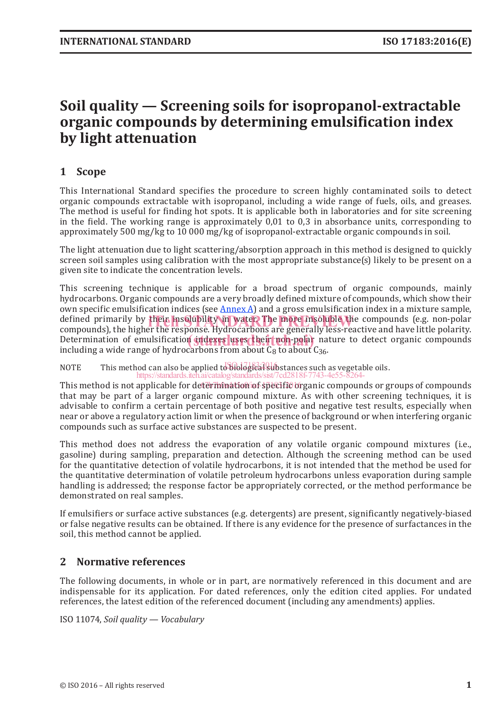### **Soil quality — Screening soils for isopropanol-extractable organic compounds by determining emulsification index by light attenuation**

#### **1 Scope**

This International Standard specifies the procedure to screen highly contaminated soils to detect organic compounds extractable with isopropanol, including a wide range of fuels, oils, and greases. The method is useful for finding hot spots. It is applicable both in laboratories and for site screening in the field. The working range is approximately 0,01 to 0,3 in absorbance units, corresponding to approximately 500 mg/kg to 10 000 mg/kg of isopropanol-extractable organic compounds in soil.

The light attenuation due to light scattering/absorption approach in this method is designed to quickly screen soil samples using calibration with the most appropriate substance(s) likely to be present on a given site to indicate the concentration levels.

This screening technique is applicable for a broad spectrum of organic compounds, mainly hydrocarbons. Organic compounds are a very broadly defined mixture of compounds, which show their own specific emulsification indices (see  $\frac{\text{Annex}}{\text{A}}$ ) and a gross emulsification index in a mixture sample, defined primarily by their insolubility in water. The more insoluble the compounds (e.g. non-polar compounds) compounds), the higher the response. Hydrocarbons are generally less-reactive and have little polarity. betermination of emulsification **indexes** uses their non-polar nature to detect organic compounds including a wide range of hydrocarbons from about Ce to about Ce including a wide range of hydrocarbons from about  $C_8$  to about  $C_{36}$ .

NOTE This method can also be applied to biological substances such as vegetable oils. https://standards.iteh.ai/catalog/standards/sist/7cd2818f-7743-4e55-8264-

This method is not applicable for determination of specific organic compounds or groups of compounds that may be part of a larger organic compound mixture. As with other screening techniques, it is advisable to confirm a certain percentage of both positive and negative test results, especially when near or above a regulatory action limit or when the presence of background or when interfering organic compounds such as surface active substances are suspected to be present.

This method does not address the evaporation of any volatile organic compound mixtures (i.e., gasoline) during sampling, preparation and detection. Although the screening method can be used for the quantitative detection of volatile hydrocarbons, it is not intended that the method be used for the quantitative determination of volatile petroleum hydrocarbons unless evaporation during sample handling is addressed; the response factor be appropriately corrected, or the method performance be demonstrated on real samples.

If emulsifiers or surface active substances (e.g. detergents) are present, significantly negatively-biased or false negative results can be obtained. If there is any evidence for the presence of surfactances in the soil, this method cannot be applied.

#### **2 Normative references**

The following documents, in whole or in part, are normatively referenced in this document and are indispensable for its application. For dated references, only the edition cited applies. For undated references, the latest edition of the referenced document (including any amendments) applies.

ISO 11074, *Soil quality — Vocabulary*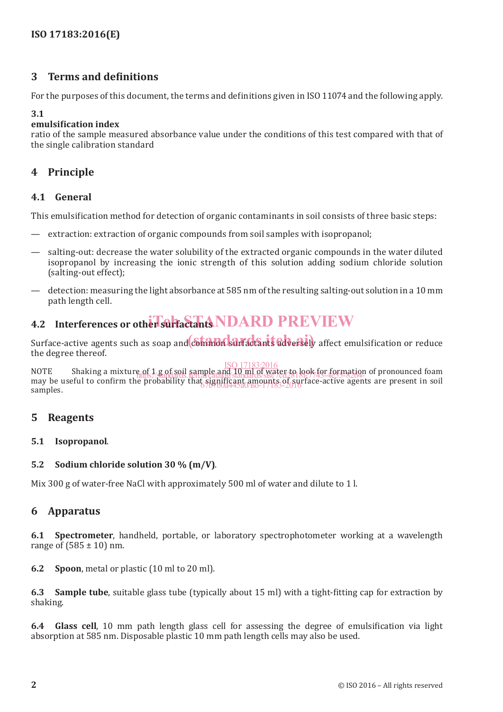#### **3 Terms and definitions**

For the purposes of this document, the terms and definitions given in ISO 11074 and the following apply.

#### **3.1**

#### **emulsification index**

ratio of the sample measured absorbance value under the conditions of this test compared with that of the single calibration standard

#### **4 Principle**

#### **4.1 General**

This emulsification method for detection of organic contaminants in soil consists of three basic steps:

- extraction: extraction of organic compounds from soil samples with isopropanol;
- salting-out: decrease the water solubility of the extracted organic compounds in the water diluted isopropanol by increasing the ionic strength of this solution adding sodium chloride solution (salting-out effect);
- detection: measuring the light absorbance at 585 nm of the resulting salting-out solution in a 10 mm path length cell.

## **4.2** Interferences or other surfactants NDARD PREVIEW

Surface-active agents such as soap and common surfactants adversely affect emulsification or reduce the degree thereof.

NOTE Shaking a mixture of 1 g of soil sample and 10 ml of water to look for formation of pronounced foam may be useful to confirm the probability that significant amounts of surface-active agents are present in soil 67b7b0a445a0/iso-17183-2016samples. ISO 17183:2016 e.of 1/g of soil sample and 10 ml of water to look for formation<br>https://standards.iteh.avcatalog/standards/sist/7cd2818f-7743-4e55-8264-

#### **5 Reagents**

#### **5.1 Isopropanol**.

#### **5.2 Sodium chloride solution 30 % (m/V)**.

Mix 300 g of water-free NaCl with approximately 500 ml of water and dilute to 1 l.

#### **6 Apparatus**

**6.1 Spectrometer**, handheld, portable, or laboratory spectrophotometer working at a wavelength range of  $(585 \pm 10)$  nm.

**6.2 Spoon**, metal or plastic (10 ml to 20 ml).

**6.3 Sample tube**, suitable glass tube (typically about 15 ml) with a tight-fitting cap for extraction by shaking.

**6.4 Glass cell**, 10 mm path length glass cell for assessing the degree of emulsification via light absorption at 585 nm. Disposable plastic 10 mm path length cells may also be used.